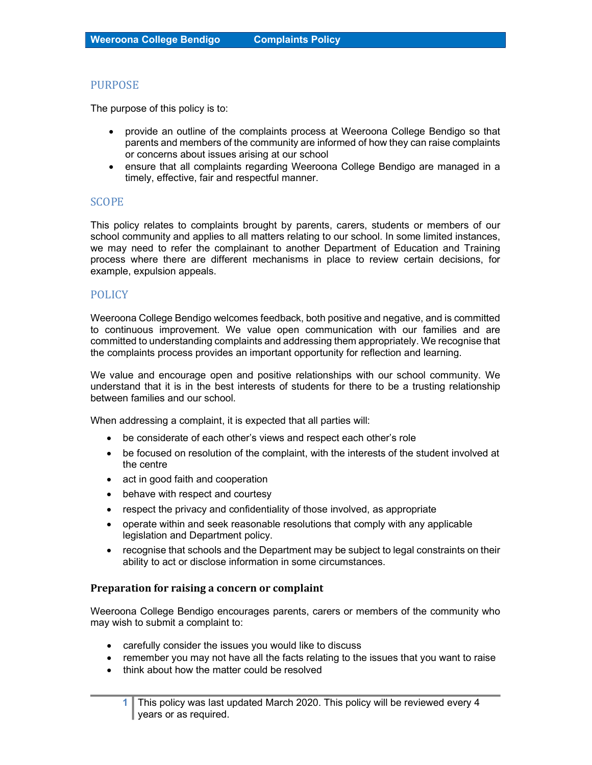### PURPOSE

The purpose of this policy is to:

- provide an outline of the complaints process at Weeroona College Bendigo so that parents and members of the community are informed of how they can raise complaints or concerns about issues arising at our school
- ensure that all complaints regarding Weeroona College Bendigo are managed in a timely, effective, fair and respectful manner.

# **SCOPE**

This policy relates to complaints brought by parents, carers, students or members of our school community and applies to all matters relating to our school. In some limited instances, we may need to refer the complainant to another Department of Education and Training process where there are different mechanisms in place to review certain decisions, for example, expulsion appeals.

# POLICY

Weeroona College Bendigo welcomes feedback, both positive and negative, and is committed to continuous improvement. We value open communication with our families and are committed to understanding complaints and addressing them appropriately. We recognise that the complaints process provides an important opportunity for reflection and learning.

We value and encourage open and positive relationships with our school community. We understand that it is in the best interests of students for there to be a trusting relationship between families and our school.

When addressing a complaint, it is expected that all parties will:

- be considerate of each other's views and respect each other's role
- be focused on resolution of the complaint, with the interests of the student involved at the centre
- act in good faith and cooperation
- behave with respect and courtesy
- respect the privacy and confidentiality of those involved, as appropriate
- operate within and seek reasonable resolutions that comply with any applicable legislation and Department policy.
- recognise that schools and the Department may be subject to legal constraints on their ability to act or disclose information in some circumstances.

### Preparation for raising a concern or complaint

Weeroona College Bendigo encourages parents, carers or members of the community who may wish to submit a complaint to:

- carefully consider the issues you would like to discuss
- remember you may not have all the facts relating to the issues that you want to raise
- think about how the matter could be resolved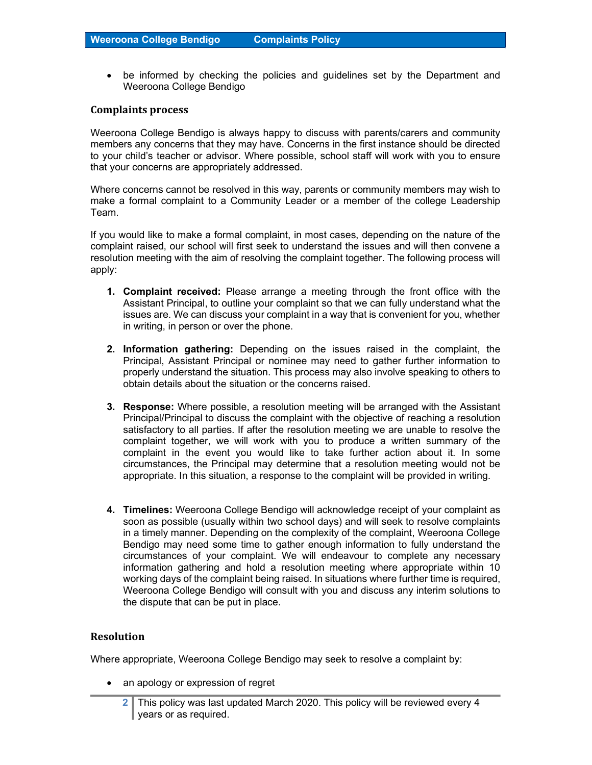be informed by checking the policies and guidelines set by the Department and Weeroona College Bendigo

#### Complaints process

Weeroona College Bendigo is always happy to discuss with parents/carers and community members any concerns that they may have. Concerns in the first instance should be directed to your child's teacher or advisor. Where possible, school staff will work with you to ensure that your concerns are appropriately addressed.

Where concerns cannot be resolved in this way, parents or community members may wish to make a formal complaint to a Community Leader or a member of the college Leadership Team.

If you would like to make a formal complaint, in most cases, depending on the nature of the complaint raised, our school will first seek to understand the issues and will then convene a resolution meeting with the aim of resolving the complaint together. The following process will apply:

- 1. Complaint received: Please arrange a meeting through the front office with the Assistant Principal, to outline your complaint so that we can fully understand what the issues are. We can discuss your complaint in a way that is convenient for you, whether in writing, in person or over the phone.
- 2. Information gathering: Depending on the issues raised in the complaint, the Principal, Assistant Principal or nominee may need to gather further information to properly understand the situation. This process may also involve speaking to others to obtain details about the situation or the concerns raised.
- 3. Response: Where possible, a resolution meeting will be arranged with the Assistant Principal/Principal to discuss the complaint with the objective of reaching a resolution satisfactory to all parties. If after the resolution meeting we are unable to resolve the complaint together, we will work with you to produce a written summary of the complaint in the event you would like to take further action about it. In some circumstances, the Principal may determine that a resolution meeting would not be appropriate. In this situation, a response to the complaint will be provided in writing.
- 4. Timelines: Weeroona College Bendigo will acknowledge receipt of your complaint as soon as possible (usually within two school days) and will seek to resolve complaints in a timely manner. Depending on the complexity of the complaint, Weeroona College Bendigo may need some time to gather enough information to fully understand the circumstances of your complaint. We will endeavour to complete any necessary information gathering and hold a resolution meeting where appropriate within 10 working days of the complaint being raised. In situations where further time is required, Weeroona College Bendigo will consult with you and discuss any interim solutions to the dispute that can be put in place.

### Resolution

Where appropriate, Weeroona College Bendigo may seek to resolve a complaint by:

- an apology or expression of regret
	- 2 This policy was last updated March 2020. This policy will be reviewed every 4 years or as required.